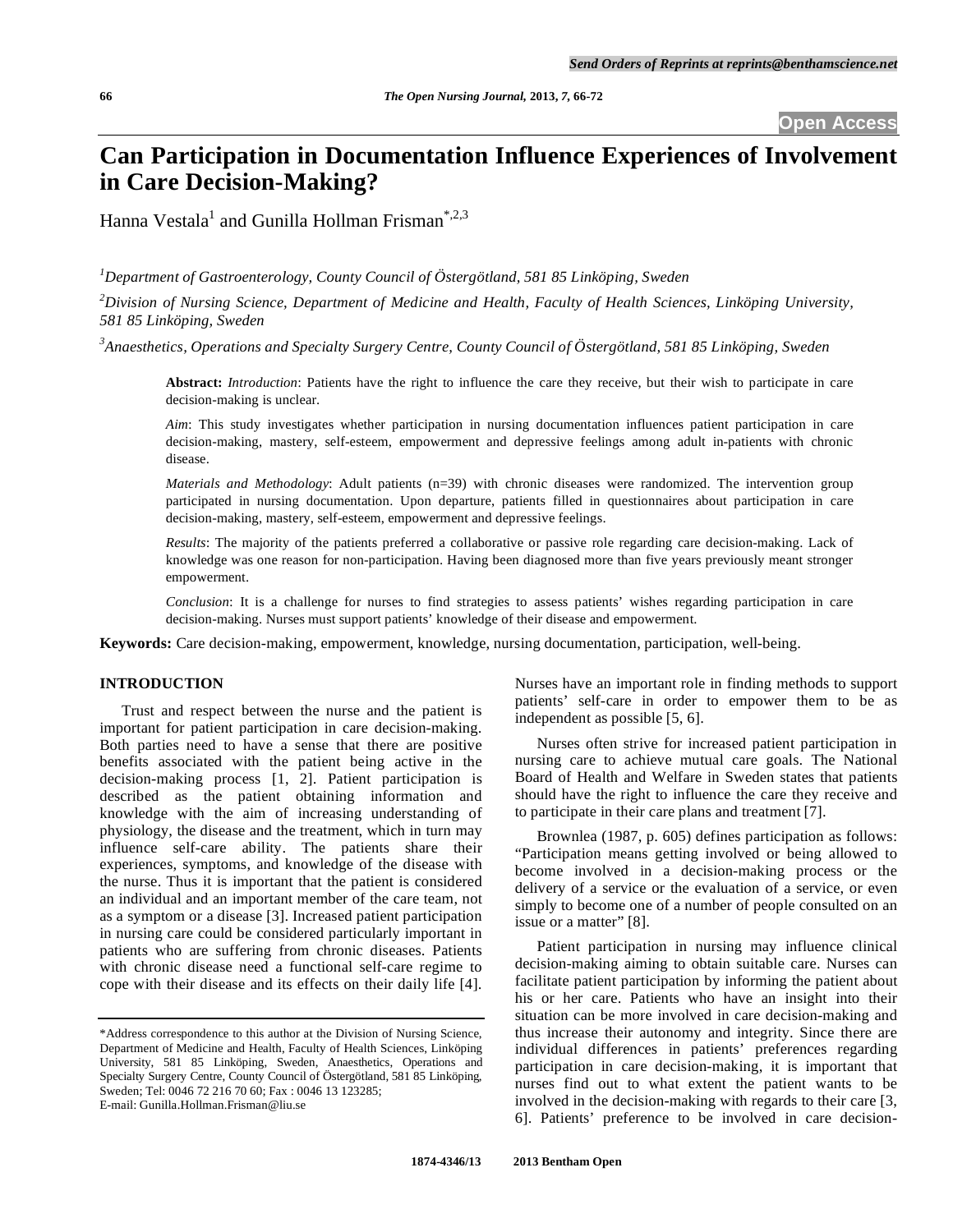# **Can Participation in Documentation Influence Experiences of Involvement in Care Decision-Making?**

Hanna Vestala $^1$  and Gunilla Hollman Frisman $^{*,2,3}$ 

*1 Department of Gastroenterology, County Council of Östergötland, 581 85 Linköping, Sweden* 

*2 Division of Nursing Science, Department of Medicine and Health, Faculty of Health Sciences, Linköping University, 581 85 Linköping, Sweden* 

*3 Anaesthetics, Operations and Specialty Surgery Centre, County Council of Östergötland, 581 85 Linköping, Sweden* 

**Abstract:** *Introduction*: Patients have the right to influence the care they receive, but their wish to participate in care decision-making is unclear.

*Aim*: This study investigates whether participation in nursing documentation influences patient participation in care decision-making, mastery, self-esteem, empowerment and depressive feelings among adult in-patients with chronic disease.

*Materials and Methodology*: Adult patients (n=39) with chronic diseases were randomized. The intervention group participated in nursing documentation. Upon departure, patients filled in questionnaires about participation in care decision-making, mastery, self-esteem, empowerment and depressive feelings.

*Results*: The majority of the patients preferred a collaborative or passive role regarding care decision-making. Lack of knowledge was one reason for non-participation. Having been diagnosed more than five years previously meant stronger empowerment.

*Conclusion*: It is a challenge for nurses to find strategies to assess patients' wishes regarding participation in care decision-making. Nurses must support patients' knowledge of their disease and empowerment.

**Keywords:** Care decision-making, empowerment, knowledge, nursing documentation, participation, well-being.

# **INTRODUCTION**

 Trust and respect between the nurse and the patient is important for patient participation in care decision-making. Both parties need to have a sense that there are positive benefits associated with the patient being active in the decision-making process [1, 2]. Patient participation is described as the patient obtaining information and knowledge with the aim of increasing understanding of physiology, the disease and the treatment, which in turn may influence self-care ability. The patients share their experiences, symptoms, and knowledge of the disease with the nurse. Thus it is important that the patient is considered an individual and an important member of the care team, not as a symptom or a disease [3]. Increased patient participation in nursing care could be considered particularly important in patients who are suffering from chronic diseases. Patients with chronic disease need a functional self-care regime to cope with their disease and its effects on their daily life [4].

Nurses have an important role in finding methods to support patients' self-care in order to empower them to be as independent as possible [5, 6].

 Nurses often strive for increased patient participation in nursing care to achieve mutual care goals. The National Board of Health and Welfare in Sweden states that patients should have the right to influence the care they receive and to participate in their care plans and treatment [7].

 Brownlea (1987, p. 605) defines participation as follows: "Participation means getting involved or being allowed to become involved in a decision-making process or the delivery of a service or the evaluation of a service, or even simply to become one of a number of people consulted on an issue or a matter" [8].

 Patient participation in nursing may influence clinical decision-making aiming to obtain suitable care. Nurses can facilitate patient participation by informing the patient about his or her care. Patients who have an insight into their situation can be more involved in care decision-making and thus increase their autonomy and integrity. Since there are individual differences in patients' preferences regarding participation in care decision-making, it is important that nurses find out to what extent the patient wants to be involved in the decision-making with regards to their care [3, 6]. Patients' preference to be involved in care decision-

<sup>\*</sup>Address correspondence to this author at the Division of Nursing Science, Department of Medicine and Health, Faculty of Health Sciences, Linköping University, 581 85 Linköping, Sweden, Anaesthetics, Operations and Specialty Surgery Centre, County Council of Östergötland, 581 85 Linköping, Sweden; Tel: 0046 72 216 70 60; Fax : 0046 13 123285; E-mail: Gunilla.Hollman.Frisman@liu.se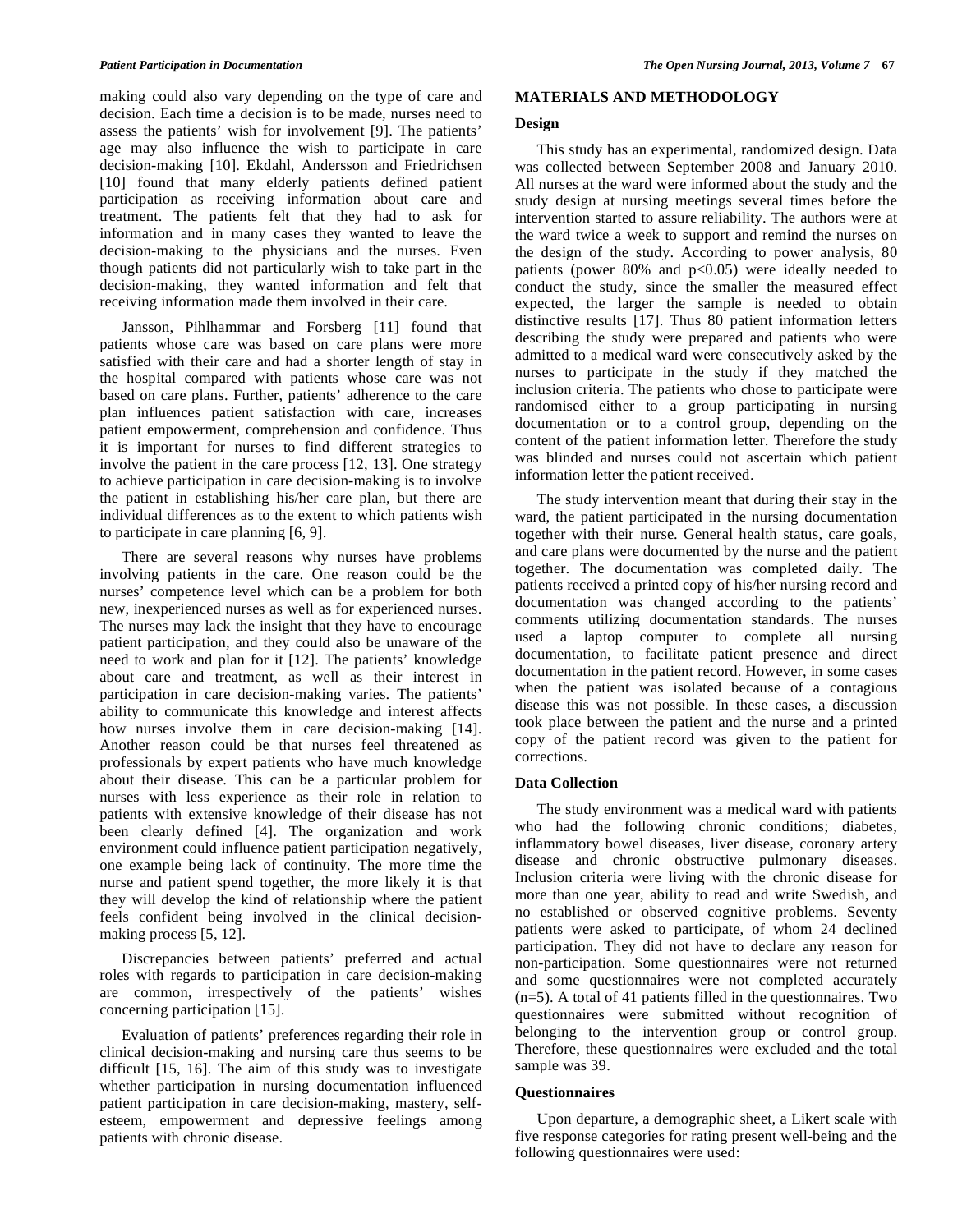making could also vary depending on the type of care and decision. Each time a decision is to be made, nurses need to assess the patients' wish for involvement [9]. The patients' age may also influence the wish to participate in care decision-making [10]. Ekdahl, Andersson and Friedrichsen [10] found that many elderly patients defined patient participation as receiving information about care and treatment. The patients felt that they had to ask for information and in many cases they wanted to leave the decision-making to the physicians and the nurses. Even though patients did not particularly wish to take part in the decision-making, they wanted information and felt that receiving information made them involved in their care.

 Jansson, Pihlhammar and Forsberg [11] found that patients whose care was based on care plans were more satisfied with their care and had a shorter length of stay in the hospital compared with patients whose care was not based on care plans. Further, patients' adherence to the care plan influences patient satisfaction with care, increases patient empowerment, comprehension and confidence. Thus it is important for nurses to find different strategies to involve the patient in the care process [12, 13]. One strategy to achieve participation in care decision-making is to involve the patient in establishing his/her care plan, but there are individual differences as to the extent to which patients wish to participate in care planning [6, 9].

 There are several reasons why nurses have problems involving patients in the care. One reason could be the nurses' competence level which can be a problem for both new, inexperienced nurses as well as for experienced nurses. The nurses may lack the insight that they have to encourage patient participation, and they could also be unaware of the need to work and plan for it [12]. The patients' knowledge about care and treatment, as well as their interest in participation in care decision-making varies. The patients' ability to communicate this knowledge and interest affects how nurses involve them in care decision-making [14]. Another reason could be that nurses feel threatened as professionals by expert patients who have much knowledge about their disease. This can be a particular problem for nurses with less experience as their role in relation to patients with extensive knowledge of their disease has not been clearly defined [4]. The organization and work environment could influence patient participation negatively, one example being lack of continuity. The more time the nurse and patient spend together, the more likely it is that they will develop the kind of relationship where the patient feels confident being involved in the clinical decisionmaking process [5, 12].

 Discrepancies between patients' preferred and actual roles with regards to participation in care decision-making are common, irrespectively of the patients' wishes concerning participation [15].

 Evaluation of patients' preferences regarding their role in clinical decision-making and nursing care thus seems to be difficult [15, 16]. The aim of this study was to investigate whether participation in nursing documentation influenced patient participation in care decision-making, mastery, selfesteem, empowerment and depressive feelings among patients with chronic disease.

# **MATERIALS AND METHODOLOGY**

# **Design**

 This study has an experimental, randomized design. Data was collected between September 2008 and January 2010. All nurses at the ward were informed about the study and the study design at nursing meetings several times before the intervention started to assure reliability. The authors were at the ward twice a week to support and remind the nurses on the design of the study. According to power analysis, 80 patients (power  $80\%$  and  $p<0.05$ ) were ideally needed to conduct the study, since the smaller the measured effect expected, the larger the sample is needed to obtain distinctive results [17]. Thus 80 patient information letters describing the study were prepared and patients who were admitted to a medical ward were consecutively asked by the nurses to participate in the study if they matched the inclusion criteria. The patients who chose to participate were randomised either to a group participating in nursing documentation or to a control group, depending on the content of the patient information letter. Therefore the study was blinded and nurses could not ascertain which patient information letter the patient received.

 The study intervention meant that during their stay in the ward, the patient participated in the nursing documentation together with their nurse. General health status, care goals, and care plans were documented by the nurse and the patient together. The documentation was completed daily. The patients received a printed copy of his/her nursing record and documentation was changed according to the patients' comments utilizing documentation standards. The nurses used a laptop computer to complete all nursing documentation, to facilitate patient presence and direct documentation in the patient record. However, in some cases when the patient was isolated because of a contagious disease this was not possible. In these cases, a discussion took place between the patient and the nurse and a printed copy of the patient record was given to the patient for corrections.

# **Data Collection**

 The study environment was a medical ward with patients who had the following chronic conditions; diabetes, inflammatory bowel diseases, liver disease, coronary artery disease and chronic obstructive pulmonary diseases. Inclusion criteria were living with the chronic disease for more than one year, ability to read and write Swedish, and no established or observed cognitive problems. Seventy patients were asked to participate, of whom 24 declined participation. They did not have to declare any reason for non-participation. Some questionnaires were not returned and some questionnaires were not completed accurately  $(n=5)$ . A total of 41 patients filled in the questionnaires. Two questionnaires were submitted without recognition of belonging to the intervention group or control group. Therefore, these questionnaires were excluded and the total sample was 39.

# **Questionnaires**

 Upon departure, a demographic sheet, a Likert scale with five response categories for rating present well-being and the following questionnaires were used: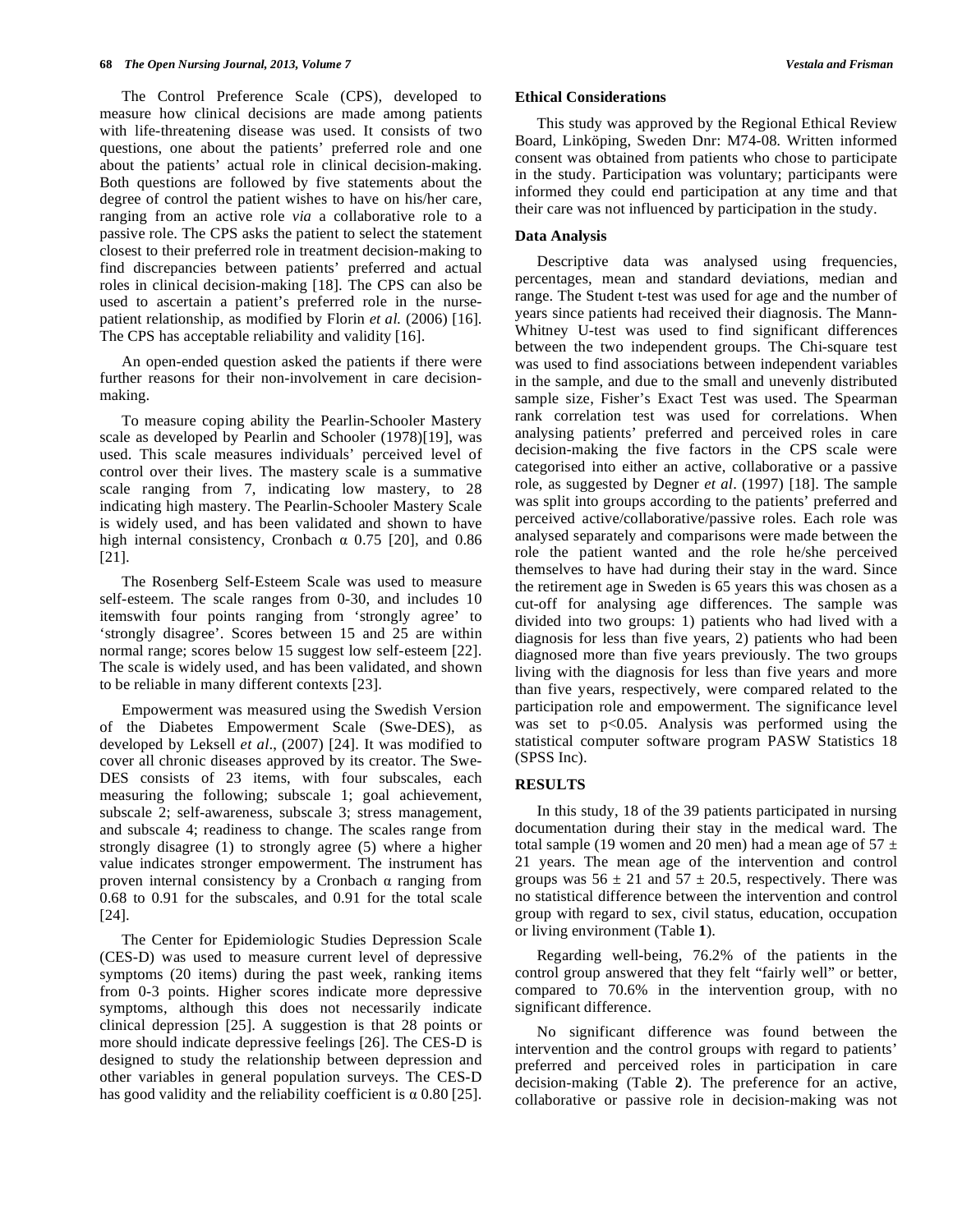The Control Preference Scale (CPS), developed to measure how clinical decisions are made among patients with life-threatening disease was used. It consists of two questions, one about the patients' preferred role and one about the patients' actual role in clinical decision-making. Both questions are followed by five statements about the degree of control the patient wishes to have on his/her care, ranging from an active role *via* a collaborative role to a passive role. The CPS asks the patient to select the statement closest to their preferred role in treatment decision-making to find discrepancies between patients' preferred and actual roles in clinical decision-making [18]. The CPS can also be used to ascertain a patient's preferred role in the nursepatient relationship, as modified by Florin *et al.* (2006) [16]. The CPS has acceptable reliability and validity [16].

 An open-ended question asked the patients if there were further reasons for their non-involvement in care decisionmaking.

 To measure coping ability the Pearlin-Schooler Mastery scale as developed by Pearlin and Schooler (1978)[19], was used. This scale measures individuals' perceived level of control over their lives. The mastery scale is a summative scale ranging from 7, indicating low mastery, to 28 indicating high mastery. The Pearlin-Schooler Mastery Scale is widely used, and has been validated and shown to have high internal consistency, Cronbach  $\alpha$  0.75 [20], and 0.86 [21].

 The Rosenberg Self-Esteem Scale was used to measure self-esteem. The scale ranges from 0-30, and includes 10 itemswith four points ranging from 'strongly agree' to 'strongly disagree'. Scores between 15 and 25 are within normal range; scores below 15 suggest low self-esteem [22]. The scale is widely used, and has been validated, and shown to be reliable in many different contexts [23].

 Empowerment was measured using the Swedish Version of the Diabetes Empowerment Scale (Swe-DES), as developed by Leksell *et al*., (2007) [24]. It was modified to cover all chronic diseases approved by its creator. The Swe-DES consists of 23 items, with four subscales, each measuring the following; subscale 1; goal achievement, subscale 2; self-awareness, subscale 3; stress management, and subscale 4; readiness to change. The scales range from strongly disagree (1) to strongly agree (5) where a higher value indicates stronger empowerment. The instrument has proven internal consistency by a Cronbach  $\alpha$  ranging from 0.68 to 0.91 for the subscales, and 0.91 for the total scale [24].

 The Center for Epidemiologic Studies Depression Scale (CES-D) was used to measure current level of depressive symptoms (20 items) during the past week, ranking items from 0-3 points. Higher scores indicate more depressive symptoms, although this does not necessarily indicate clinical depression [25]. A suggestion is that 28 points or more should indicate depressive feelings [26]. The CES-D is designed to study the relationship between depression and other variables in general population surveys. The CES-D has good validity and the reliability coefficient is  $\alpha$  0.80 [25].

# **Ethical Considerations**

 This study was approved by the Regional Ethical Review Board, Linköping, Sweden Dnr: M74-08*.* Written informed consent was obtained from patients who chose to participate in the study. Participation was voluntary; participants were informed they could end participation at any time and that their care was not influenced by participation in the study.

# **Data Analysis**

 Descriptive data was analysed using frequencies, percentages, mean and standard deviations, median and range. The Student t-test was used for age and the number of years since patients had received their diagnosis. The Mann-Whitney U-test was used to find significant differences between the two independent groups. The Chi-square test was used to find associations between independent variables in the sample, and due to the small and unevenly distributed sample size, Fisher's Exact Test was used. The Spearman rank correlation test was used for correlations. When analysing patients' preferred and perceived roles in care decision-making the five factors in the CPS scale were categorised into either an active, collaborative or a passive role, as suggested by Degner *et al*. (1997) [18]. The sample was split into groups according to the patients' preferred and perceived active/collaborative/passive roles. Each role was analysed separately and comparisons were made between the role the patient wanted and the role he/she perceived themselves to have had during their stay in the ward. Since the retirement age in Sweden is 65 years this was chosen as a cut-off for analysing age differences. The sample was divided into two groups: 1) patients who had lived with a diagnosis for less than five years, 2) patients who had been diagnosed more than five years previously. The two groups living with the diagnosis for less than five years and more than five years, respectively, were compared related to the participation role and empowerment. The significance level was set to p<0.05. Analysis was performed using the statistical computer software program PASW Statistics 18 (SPSS Inc).

# **RESULTS**

 In this study, 18 of the 39 patients participated in nursing documentation during their stay in the medical ward. The total sample (19 women and 20 men) had a mean age of  $57 \pm$ 21 years. The mean age of the intervention and control groups was  $56 \pm 21$  and  $57 \pm 20.5$ , respectively. There was no statistical difference between the intervention and control group with regard to sex, civil status, education, occupation or living environment (Table **1**).

 Regarding well-being, 76.2% of the patients in the control group answered that they felt "fairly well" or better, compared to 70.6% in the intervention group, with no significant difference.

 No significant difference was found between the intervention and the control groups with regard to patients' preferred and perceived roles in participation in care decision-making (Table **2**). The preference for an active, collaborative or passive role in decision-making was not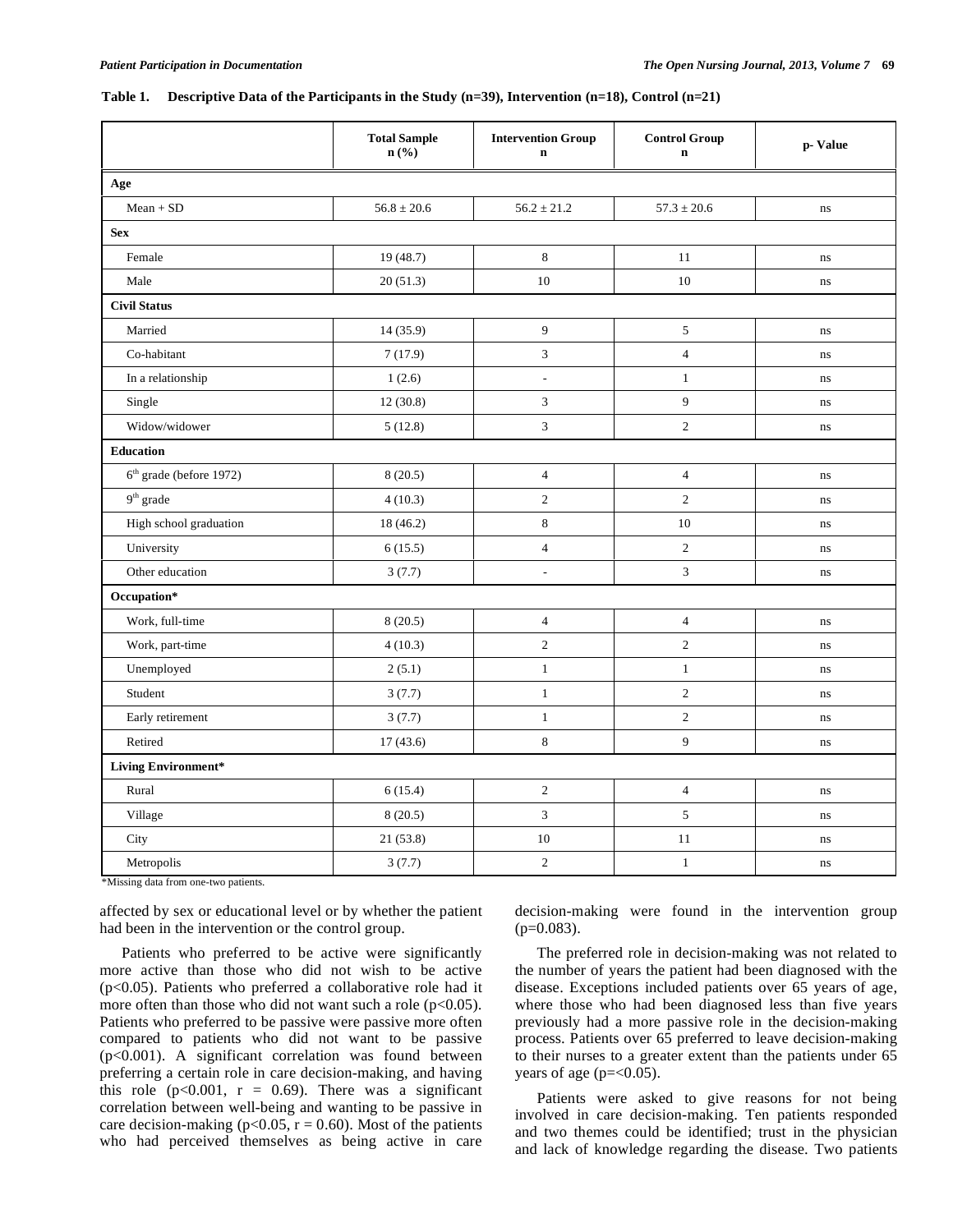#### **Table 1. Descriptive Data of the Participants in the Study (n=39), Intervention (n=18), Control (n=21)**

|                                     | <b>Total Sample</b><br>$n\left(\frac{0}{0}\right)$ | <b>Intervention Group</b><br>$\mathbf n$ | <b>Control Group</b><br>$\mathbf n$ | p-Value  |  |  |  |  |  |
|-------------------------------------|----------------------------------------------------|------------------------------------------|-------------------------------------|----------|--|--|--|--|--|
| Age                                 |                                                    |                                          |                                     |          |  |  |  |  |  |
| $Mean + SD$                         | $56.8 \pm 20.6$                                    | $56.2 \pm 21.2$                          | $57.3 \pm 20.6$                     | ns       |  |  |  |  |  |
| <b>Sex</b>                          |                                                    |                                          |                                     |          |  |  |  |  |  |
| Female                              | 19 (48.7)                                          | 8                                        | 11                                  | ns       |  |  |  |  |  |
| Male                                | 20(51.3)                                           | $10\,$                                   | $10\,$                              | $\bf ns$ |  |  |  |  |  |
| <b>Civil Status</b>                 |                                                    |                                          |                                     |          |  |  |  |  |  |
| Married                             | 14 (35.9)                                          | 9                                        | $\sqrt{5}$                          | ns       |  |  |  |  |  |
| Co-habitant                         | 7(17.9)                                            | $\ensuremath{\mathfrak{Z}}$              | $\overline{4}$                      | $\rm ns$ |  |  |  |  |  |
| In a relationship                   | 1(2.6)                                             | $\frac{1}{2}$                            | $\mathbf{1}$                        | ns       |  |  |  |  |  |
| Single                              | 12(30.8)                                           | $\mathfrak{Z}$                           | 9                                   | ns       |  |  |  |  |  |
| Widow/widower                       | 5(12.8)                                            | $\mathfrak{Z}$                           | $\sqrt{2}$                          | ns       |  |  |  |  |  |
| <b>Education</b>                    |                                                    |                                          |                                     |          |  |  |  |  |  |
| 6 <sup>th</sup> grade (before 1972) | 8(20.5)                                            | $\overline{4}$                           | $\overline{4}$                      | ns       |  |  |  |  |  |
| $9^{\rm th}$ grade                  | 4(10.3)                                            | $\overline{c}$                           | $\overline{c}$                      | ns       |  |  |  |  |  |
| High school graduation              | 18 (46.2)                                          | $\,$ 8 $\,$                              | 10                                  | ns       |  |  |  |  |  |
| University                          | 6(15.5)                                            | $\overline{4}$                           | $\sqrt{2}$                          | ns       |  |  |  |  |  |
| Other education                     | 3(7.7)                                             | $\blacksquare$                           | 3                                   | ns       |  |  |  |  |  |
| Occupation*                         |                                                    |                                          |                                     |          |  |  |  |  |  |
| Work, full-time                     | 8(20.5)                                            | $\overline{4}$                           | $\overline{4}$                      | ns       |  |  |  |  |  |
| Work, part-time                     | 4(10.3)                                            | $\overline{c}$                           | $\overline{c}$                      | ns       |  |  |  |  |  |
| Unemployed                          | 2(5.1)                                             | $\,1\,$                                  | $\,1\,$                             | ns       |  |  |  |  |  |
| Student                             | 3(7.7)                                             | $\mathbf{1}$                             | $\overline{c}$                      | ns       |  |  |  |  |  |
| Early retirement                    | 3(7.7)                                             | $\mathbf{1}$                             | $\sqrt{2}$                          | ns       |  |  |  |  |  |
| Retired                             | 17(43.6)                                           | 8                                        | 9                                   | ns       |  |  |  |  |  |
| <b>Living Environment*</b>          |                                                    |                                          |                                     |          |  |  |  |  |  |
| Rural                               | 6(15.4)                                            | $\sqrt{2}$                               | $\sqrt{4}$                          | ns       |  |  |  |  |  |
| Village                             | 8(20.5)                                            | 3                                        | 5                                   | ns       |  |  |  |  |  |
| City                                | 21 (53.8)                                          | $10\,$                                   | 11                                  | ns       |  |  |  |  |  |
| Metropolis                          | 3(7.7)                                             | $\overline{c}$                           | $1\,$                               | ns       |  |  |  |  |  |

\*Missing data from one-two patients.

affected by sex or educational level or by whether the patient had been in the intervention or the control group.

 Patients who preferred to be active were significantly more active than those who did not wish to be active ( $p<0.05$ ). Patients who preferred a collaborative role had it more often than those who did not want such a role  $(p<0.05)$ . Patients who preferred to be passive were passive more often compared to patients who did not want to be passive (p<0.001). A significant correlation was found between preferring a certain role in care decision-making, and having this role  $(p<0.001, r = 0.69)$ . There was a significant correlation between well-being and wanting to be passive in care decision-making ( $p<0.05$ ,  $r = 0.60$ ). Most of the patients who had perceived themselves as being active in care

decision-making were found in the intervention group  $(p=0.083)$ .

 The preferred role in decision-making was not related to the number of years the patient had been diagnosed with the disease. Exceptions included patients over 65 years of age, where those who had been diagnosed less than five years previously had a more passive role in the decision-making process. Patients over 65 preferred to leave decision-making to their nurses to a greater extent than the patients under 65 years of age ( $p = 0.05$ ).

 Patients were asked to give reasons for not being involved in care decision-making. Ten patients responded and two themes could be identified; trust in the physician and lack of knowledge regarding the disease. Two patients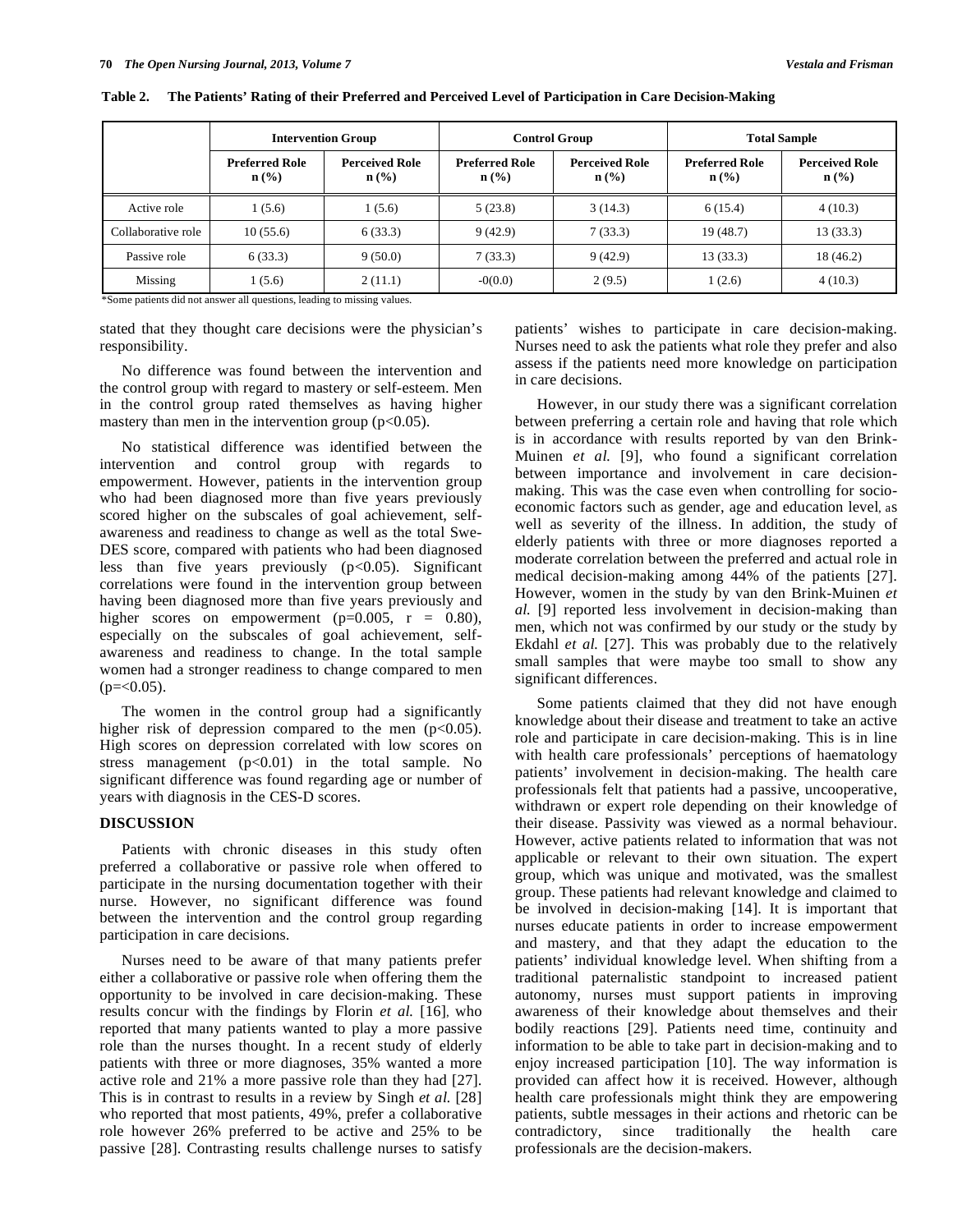|                         | <b>Intervention Group</b>                                                                                                                                                                                                               |                                           | <b>Control Group</b>                      |                                                      | <b>Total Sample</b>                       |                                  |
|-------------------------|-----------------------------------------------------------------------------------------------------------------------------------------------------------------------------------------------------------------------------------------|-------------------------------------------|-------------------------------------------|------------------------------------------------------|-------------------------------------------|----------------------------------|
|                         | <b>Preferred Role</b><br>$\mathbf{n}(\%)$                                                                                                                                                                                               | <b>Perceived Role</b><br>$\mathbf{n}(\%)$ | <b>Preferred Role</b><br>$\mathbf{n}(\%)$ | <b>Perceived Role</b><br>$n\left(\frac{9}{6}\right)$ | <b>Preferred Role</b><br>$\mathbf{n}(\%)$ | <b>Perceived Role</b><br>$n$ (%) |
| Active role             | 1(5.6)                                                                                                                                                                                                                                  | 1(5.6)                                    | 5(23.8)                                   | 3(14.3)                                              | 6(15.4)                                   | 4(10.3)                          |
| Collaborative role      | 10(55.6)                                                                                                                                                                                                                                | 6(33.3)                                   | 9(42.9)                                   | 7(33.3)                                              | 19(48.7)                                  | 13(33.3)                         |
| Passive role            | 6(33.3)                                                                                                                                                                                                                                 | 9(50.0)                                   | 7(33.3)                                   | 9(42.9)                                              | 13(33.3)                                  | 18 (46.2)                        |
| Missing<br>$\mathbf{a}$ | 1(5.6)<br>$-11$ . The contract of the contract of the contract of the contract of the contract of the contract of the contract of the contract of the contract of the contract of the contract of the contract of the contract of the c | 2(11.1)                                   | $-0(0.0)$                                 | 2(9.5)                                               | 1(2.6)                                    | 4(10.3)                          |

**Table 2. The Patients' Rating of their Preferred and Perceived Level of Participation in Care Decision-Making** 

\*Some patients did not answer all questions, leading to missing values.

stated that they thought care decisions were the physician's responsibility.

 No difference was found between the intervention and the control group with regard to mastery or self-esteem. Men in the control group rated themselves as having higher mastery than men in the intervention group  $(p<0.05)$ .

 No statistical difference was identified between the intervention and control group with regards to empowerment. However, patients in the intervention group who had been diagnosed more than five years previously scored higher on the subscales of goal achievement, selfawareness and readiness to change as well as the total Swe-DES score, compared with patients who had been diagnosed less than five years previously (p<0.05). Significant correlations were found in the intervention group between having been diagnosed more than five years previously and higher scores on empowerment  $(p=0.005, r = 0.80)$ , especially on the subscales of goal achievement, selfawareness and readiness to change. In the total sample women had a stronger readiness to change compared to men  $(p=<0.05)$ .

 The women in the control group had a significantly higher risk of depression compared to the men  $(p<0.05)$ . High scores on depression correlated with low scores on stress management  $(p<0.01)$  in the total sample. No significant difference was found regarding age or number of years with diagnosis in the CES-D scores.

# **DISCUSSION**

 Patients with chronic diseases in this study often preferred a collaborative or passive role when offered to participate in the nursing documentation together with their nurse. However, no significant difference was found between the intervention and the control group regarding participation in care decisions.

 Nurses need to be aware of that many patients prefer either a collaborative or passive role when offering them the opportunity to be involved in care decision-making. These results concur with the findings by Florin *et al.* [16], who reported that many patients wanted to play a more passive role than the nurses thought. In a recent study of elderly patients with three or more diagnoses, 35% wanted a more active role and 21% a more passive role than they had [27]. This is in contrast to results in a review by Singh *et al.* [28] who reported that most patients, 49%, prefer a collaborative role however 26% preferred to be active and 25% to be passive [28]. Contrasting results challenge nurses to satisfy

patients' wishes to participate in care decision-making. Nurses need to ask the patients what role they prefer and also assess if the patients need more knowledge on participation in care decisions.

 However, in our study there was a significant correlation between preferring a certain role and having that role which is in accordance with results reported by van den Brink-Muinen *et al.* [9], who found a significant correlation between importance and involvement in care decisionmaking. This was the case even when controlling for socioeconomic factors such as gender, age and education level, as well as severity of the illness. In addition, the study of elderly patients with three or more diagnoses reported a moderate correlation between the preferred and actual role in medical decision-making among 44% of the patients [27]. However, women in the study by van den Brink-Muinen *et al.* [9] reported less involvement in decision-making than men, which not was confirmed by our study or the study by Ekdahl *et al.* [27]. This was probably due to the relatively small samples that were maybe too small to show any significant differences.

 Some patients claimed that they did not have enough knowledge about their disease and treatment to take an active role and participate in care decision-making. This is in line with health care professionals' perceptions of haematology patients' involvement in decision-making. The health care professionals felt that patients had a passive, uncooperative, withdrawn or expert role depending on their knowledge of their disease. Passivity was viewed as a normal behaviour. However, active patients related to information that was not applicable or relevant to their own situation. The expert group, which was unique and motivated, was the smallest group. These patients had relevant knowledge and claimed to be involved in decision-making [14]. It is important that nurses educate patients in order to increase empowerment and mastery, and that they adapt the education to the patients' individual knowledge level. When shifting from a traditional paternalistic standpoint to increased patient autonomy, nurses must support patients in improving awareness of their knowledge about themselves and their bodily reactions [29]. Patients need time, continuity and information to be able to take part in decision-making and to enjoy increased participation [10]. The way information is provided can affect how it is received. However, although health care professionals might think they are empowering patients, subtle messages in their actions and rhetoric can be contradictory, since traditionally the health care professionals are the decision-makers.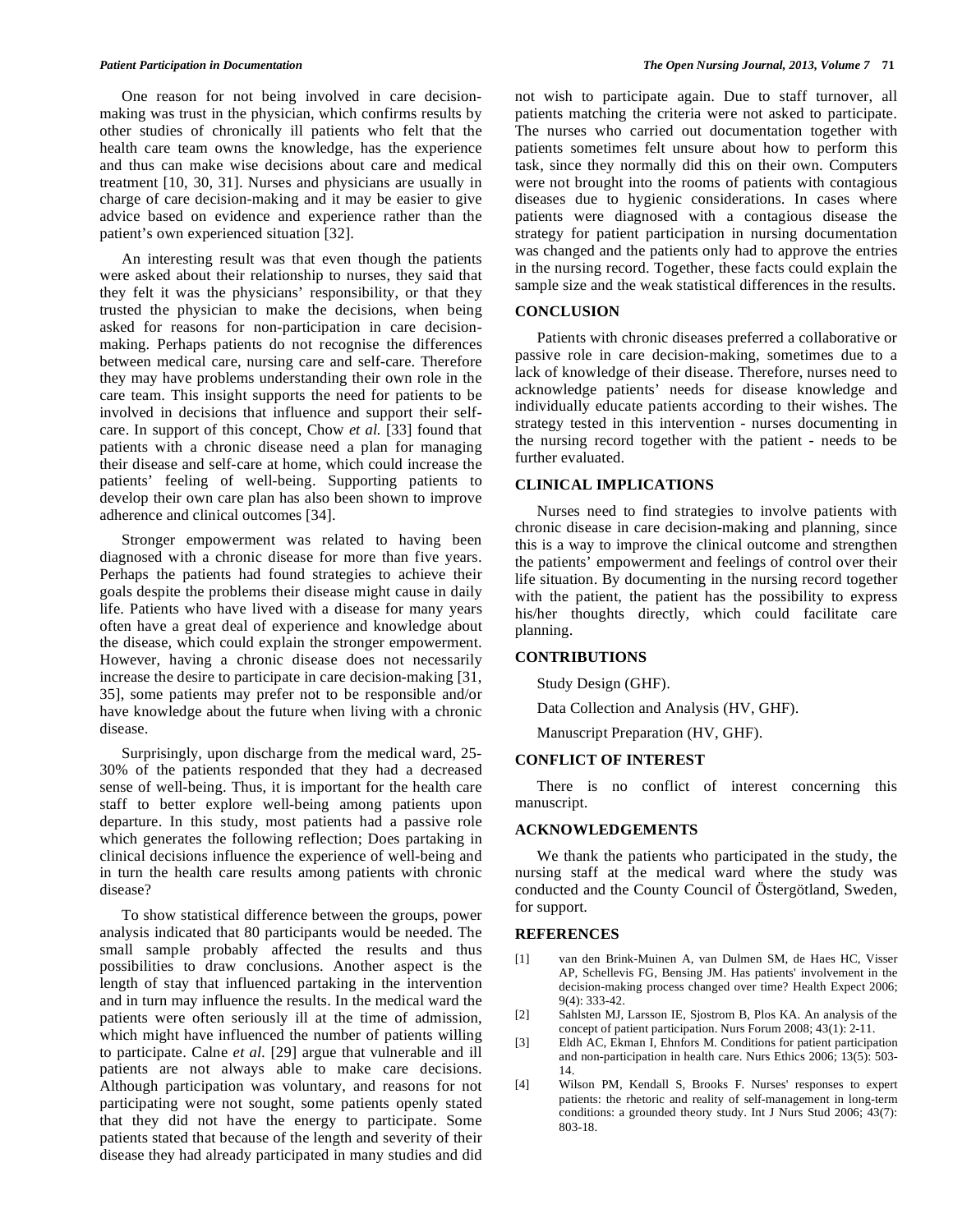One reason for not being involved in care decisionmaking was trust in the physician, which confirms results by other studies of chronically ill patients who felt that the health care team owns the knowledge, has the experience and thus can make wise decisions about care and medical treatment [10, 30, 31]. Nurses and physicians are usually in charge of care decision-making and it may be easier to give advice based on evidence and experience rather than the patient's own experienced situation [32].

 An interesting result was that even though the patients were asked about their relationship to nurses, they said that they felt it was the physicians' responsibility, or that they trusted the physician to make the decisions, when being asked for reasons for non-participation in care decisionmaking. Perhaps patients do not recognise the differences between medical care, nursing care and self-care. Therefore they may have problems understanding their own role in the care team. This insight supports the need for patients to be involved in decisions that influence and support their selfcare. In support of this concept, Chow *et al.* [33] found that patients with a chronic disease need a plan for managing their disease and self-care at home, which could increase the patients' feeling of well-being. Supporting patients to develop their own care plan has also been shown to improve adherence and clinical outcomes [34].

 Stronger empowerment was related to having been diagnosed with a chronic disease for more than five years. Perhaps the patients had found strategies to achieve their goals despite the problems their disease might cause in daily life. Patients who have lived with a disease for many years often have a great deal of experience and knowledge about the disease, which could explain the stronger empowerment. However, having a chronic disease does not necessarily increase the desire to participate in care decision-making [31, 35], some patients may prefer not to be responsible and/or have knowledge about the future when living with a chronic disease.

 Surprisingly, upon discharge from the medical ward, 25- 30% of the patients responded that they had a decreased sense of well-being. Thus, it is important for the health care staff to better explore well-being among patients upon departure. In this study, most patients had a passive role which generates the following reflection; Does partaking in clinical decisions influence the experience of well-being and in turn the health care results among patients with chronic disease?

 To show statistical difference between the groups, power analysis indicated that 80 participants would be needed. The small sample probably affected the results and thus possibilities to draw conclusions. Another aspect is the length of stay that influenced partaking in the intervention and in turn may influence the results. In the medical ward the patients were often seriously ill at the time of admission, which might have influenced the number of patients willing to participate. Calne *et al.* [29] argue that vulnerable and ill patients are not always able to make care decisions. Although participation was voluntary, and reasons for not participating were not sought, some patients openly stated that they did not have the energy to participate. Some patients stated that because of the length and severity of their disease they had already participated in many studies and did

not wish to participate again. Due to staff turnover, all patients matching the criteria were not asked to participate. The nurses who carried out documentation together with patients sometimes felt unsure about how to perform this task, since they normally did this on their own. Computers were not brought into the rooms of patients with contagious diseases due to hygienic considerations. In cases where patients were diagnosed with a contagious disease the strategy for patient participation in nursing documentation was changed and the patients only had to approve the entries in the nursing record. Together, these facts could explain the sample size and the weak statistical differences in the results.

# **CONCLUSION**

 Patients with chronic diseases preferred a collaborative or passive role in care decision-making, sometimes due to a lack of knowledge of their disease. Therefore, nurses need to acknowledge patients' needs for disease knowledge and individually educate patients according to their wishes. The strategy tested in this intervention - nurses documenting in the nursing record together with the patient - needs to be further evaluated.

### **CLINICAL IMPLICATIONS**

 Nurses need to find strategies to involve patients with chronic disease in care decision-making and planning, since this is a way to improve the clinical outcome and strengthen the patients' empowerment and feelings of control over their life situation. By documenting in the nursing record together with the patient, the patient has the possibility to express his/her thoughts directly, which could facilitate care planning.

# **CONTRIBUTIONS**

Study Design (GHF).

Data Collection and Analysis (HV, GHF).

Manuscript Preparation (HV, GHF).

# **CONFLICT OF INTEREST**

 There is no conflict of interest concerning this manuscript.

# **ACKNOWLEDGEMENTS**

 We thank the patients who participated in the study, the nursing staff at the medical ward where the study was conducted and the County Council of Östergötland, Sweden, for support.

#### **REFERENCES**

- [1] van den Brink-Muinen A, van Dulmen SM, de Haes HC, Visser AP, Schellevis FG, Bensing JM. Has patients' involvement in the decision-making process changed over time? Health Expect 2006; 9(4): 333-42.
- [2] Sahlsten MJ, Larsson IE, Sjostrom B, Plos KA. An analysis of the concept of patient participation. Nurs Forum 2008; 43(1): 2-11.
- [3] Eldh AC, Ekman I, Ehnfors M. Conditions for patient participation and non-participation in health care. Nurs Ethics 2006; 13(5): 503- 14.
- [4] Wilson PM, Kendall S, Brooks F. Nurses' responses to expert patients: the rhetoric and reality of self-management in long-term conditions: a grounded theory study. Int J Nurs Stud 2006; 43(7): 803-18.